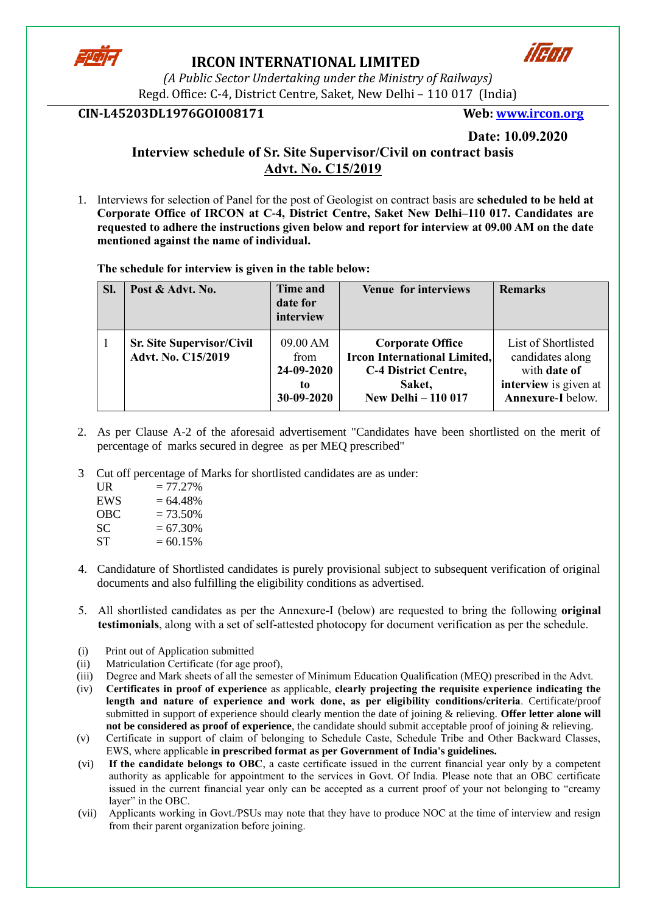

### **IRCON INTERNATIONAL LIMITED**



*(A Public Sector Undertaking under the Ministry of Railways)* Regd. Office: C-4, District Centre, Saket, New Delhi – 110 017 (India)

### **CIN-L45203DL1976GOI008171 Web: [www.ircon.org](http://www.ircon.org/)**

**Date: 10.09.2020**

# **Interview schedule of Sr. Site Supervisor/Civil on contract basis Advt. No. C15/2019**

1. Interviews for selection of Panel for the post of Geologist on contract basis are **scheduled to be held at Corporate Office of IRCON at C-4, District Centre, Saket New Delhi–110 017. Candidates are requested to adhere the instructions given below and report for interview at 09.00 AM on the date mentioned against the name of individual.** 

**The schedule for interview is given in the table below:**

| SI. | Post & Advt. No.                                       | <b>Time and</b><br>date for<br>interview           | <b>Venue for interviews</b>                                                                                                           | <b>Remarks</b>                                                                                        |
|-----|--------------------------------------------------------|----------------------------------------------------|---------------------------------------------------------------------------------------------------------------------------------------|-------------------------------------------------------------------------------------------------------|
|     | <b>Sr. Site Supervisor/Civil</b><br>Advt. No. C15/2019 | 09.00 AM<br>from<br>24-09-2020<br>to<br>30-09-2020 | <b>Corporate Office</b><br><b>Ircon International Limited,</b><br><b>C-4 District Centre,</b><br>Saket,<br><b>New Delhi - 110 017</b> | List of Shortlisted<br>candidates along<br>with date of<br>interview is given at<br>Annexure-I below. |

- 2. As per Clause A-2 of the aforesaid advertisement "Candidates have been shortlisted on the merit of percentage of marks secured in degree as per MEQ prescribed"
- 3 Cut off percentage of Marks for shortlisted candidates are as under:

| UR  | $= 77.27\%$ |
|-----|-------------|
| EWS | $= 64.48%$  |
| OBC | $= 73.50\%$ |
| SС  | $= 67.30\%$ |
| SТ  | $= 60.15\%$ |

- 4. Candidature of Shortlisted candidates is purely provisional subject to subsequent verification of original documents and also fulfilling the eligibility conditions as advertised.
- 5. All shortlisted candidates as per the Annexure-I (below) are requested to bring the following **original testimonials**, along with a set of self-attested photocopy for document verification as per the schedule.
- (i) Print out of Application submitted
- (ii) Matriculation Certificate (for age proof),
- (iii) Degree and Mark sheets of all the semester of Minimum Education Qualification (MEQ) prescribed in the Advt.
- (iv) **Certificates in proof of experience** as applicable, **clearly projecting the requisite experience indicating the length and nature of experience and work done, as per eligibility conditions/criteria**. Certificate/proof submitted in support of experience should clearly mention the date of joining & relieving. **Offer letter alone will not be considered as proof of experience**, the candidate should submit acceptable proof of joining & relieving.
- (v) Certificate in support of claim of belonging to Schedule Caste, Schedule Tribe and Other Backward Classes, EWS, where applicable **in prescribed format as per Government of India's guidelines.**
- (vi) **If the candidate belongs to OBC**, a caste certificate issued in the current financial year only by a competent authority as applicable for appointment to the services in Govt. Of India. Please note that an OBC certificate issued in the current financial year only can be accepted as a current proof of your not belonging to "creamy layer" in the OBC.
- (vii) Applicants working in Govt./PSUs may note that they have to produce NOC at the time of interview and resign from their parent organization before joining.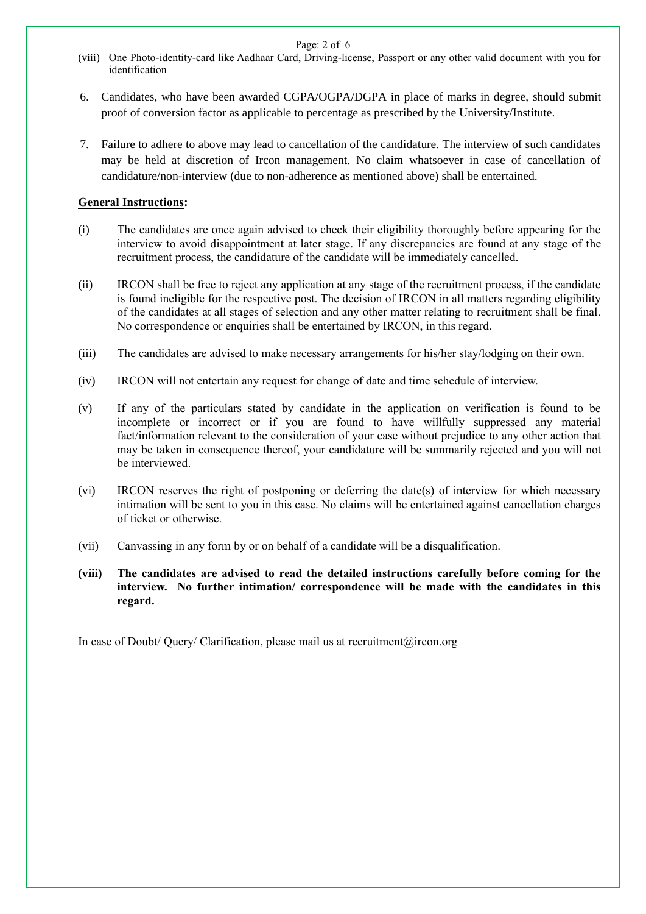Page: 2 of 6

- (viii) One Photo-identity-card like Aadhaar Card, Driving-license, Passport or any other valid document with you for identification
- 6. Candidates, who have been awarded CGPA/OGPA/DGPA in place of marks in degree, should submit proof of conversion factor as applicable to percentage as prescribed by the University/Institute.
- 7. Failure to adhere to above may lead to cancellation of the candidature. The interview of such candidates may be held at discretion of Ircon management. No claim whatsoever in case of cancellation of candidature/non-interview (due to non-adherence as mentioned above) shall be entertained.

#### **General Instructions:**

- (i) The candidates are once again advised to check their eligibility thoroughly before appearing for the interview to avoid disappointment at later stage. If any discrepancies are found at any stage of the recruitment process, the candidature of the candidate will be immediately cancelled.
- (ii) IRCON shall be free to reject any application at any stage of the recruitment process, if the candidate is found ineligible for the respective post. The decision of IRCON in all matters regarding eligibility of the candidates at all stages of selection and any other matter relating to recruitment shall be final. No correspondence or enquiries shall be entertained by IRCON, in this regard.
- (iii) The candidates are advised to make necessary arrangements for his/her stay/lodging on their own.
- (iv) IRCON will not entertain any request for change of date and time schedule of interview.
- (v) If any of the particulars stated by candidate in the application on verification is found to be incomplete or incorrect or if you are found to have willfully suppressed any material fact/information relevant to the consideration of your case without prejudice to any other action that may be taken in consequence thereof, your candidature will be summarily rejected and you will not be interviewed.
- (vi) IRCON reserves the right of postponing or deferring the date(s) of interview for which necessary intimation will be sent to you in this case. No claims will be entertained against cancellation charges of ticket or otherwise.
- (vii) Canvassing in any form by or on behalf of a candidate will be a disqualification.
- **(viii) The candidates are advised to read the detailed instructions carefully before coming for the interview. No further intimation/ correspondence will be made with the candidates in this regard.**

In case of Doubt/ Query/ Clarification, please mail us at recruitment@ircon.org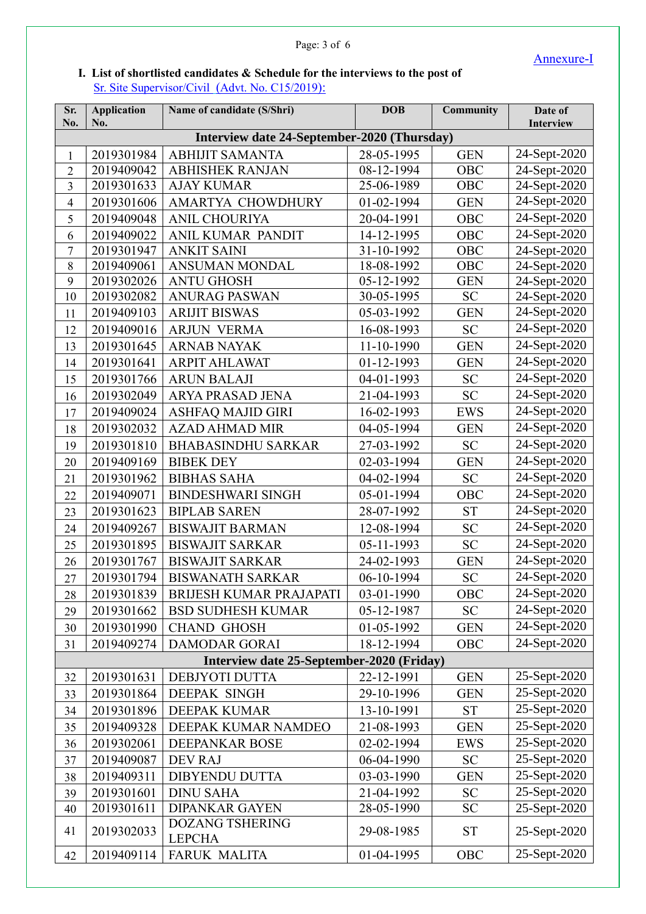## Annexure-I

## Page: 3 of 6

## **I. List of shortlisted candidates & Schedule for the interviews to the post of**  Sr. Site Supervisor/Civil (Advt. No. C15/2019):

| Sr.<br>No.                                  | <b>Application</b><br>No. | Name of candidate (S/Shri)                | <b>DOB</b> | <b>Community</b> | Date of<br>Interview |  |  |
|---------------------------------------------|---------------------------|-------------------------------------------|------------|------------------|----------------------|--|--|
| Interview date 24-September-2020 (Thursday) |                           |                                           |            |                  |                      |  |  |
| $\mathbf{1}$                                | 2019301984                | <b>ABHIJIT SAMANTA</b>                    | 28-05-1995 | <b>GEN</b>       | 24-Sept-2020         |  |  |
| $\overline{2}$                              | 2019409042                | <b>ABHISHEK RANJAN</b>                    | 08-12-1994 | OBC              | 24-Sept-2020         |  |  |
| $\overline{\mathbf{3}}$                     | 2019301633                | <b>AJAY KUMAR</b>                         | 25-06-1989 | OBC              | 24-Sept-2020         |  |  |
| $\overline{\mathbf{4}}$                     | 2019301606                | AMARTYA CHOWDHURY                         | 01-02-1994 | <b>GEN</b>       | 24-Sept-2020         |  |  |
| 5                                           | 2019409048                | ANIL CHOURIYA                             | 20-04-1991 | OBC              | 24-Sept-2020         |  |  |
| 6                                           | 2019409022                | ANIL KUMAR PANDIT                         | 14-12-1995 | OBC              | 24-Sept-2020         |  |  |
| $\overline{7}$                              | 2019301947                | <b>ANKIT SAINI</b>                        | 31-10-1992 | OBC              | 24-Sept-2020         |  |  |
| $8\,$                                       | 2019409061                | <b>ANSUMAN MONDAL</b>                     | 18-08-1992 | OBC              | 24-Sept-2020         |  |  |
| 9                                           | 2019302026                | <b>ANTU GHOSH</b>                         | 05-12-1992 | <b>GEN</b>       | 24-Sept-2020         |  |  |
| 10                                          | 2019302082                | <b>ANURAG PASWAN</b>                      | 30-05-1995 | <b>SC</b>        | 24-Sept-2020         |  |  |
| 11                                          | 2019409103                | <b>ARIJIT BISWAS</b>                      | 05-03-1992 | <b>GEN</b>       | 24-Sept-2020         |  |  |
| 12                                          | 2019409016                | <b>ARJUN VERMA</b>                        | 16-08-1993 | <b>SC</b>        | 24-Sept-2020         |  |  |
| 13                                          | 2019301645                | <b>ARNAB NAYAK</b>                        | 11-10-1990 | <b>GEN</b>       | 24-Sept-2020         |  |  |
| 14                                          | 2019301641                | <b>ARPIT AHLAWAT</b>                      | 01-12-1993 | <b>GEN</b>       | 24-Sept-2020         |  |  |
| 15                                          | 2019301766                | <b>ARUN BALAJI</b>                        | 04-01-1993 | <b>SC</b>        | 24-Sept-2020         |  |  |
| 16                                          | 2019302049                | ARYA PRASAD JENA                          | 21-04-1993 | <b>SC</b>        | 24-Sept-2020         |  |  |
| 17                                          | 2019409024                | <b>ASHFAQ MAJID GIRI</b>                  | 16-02-1993 | <b>EWS</b>       | 24-Sept-2020         |  |  |
| 18                                          | 2019302032                | <b>AZAD AHMAD MIR</b>                     | 04-05-1994 | <b>GEN</b>       | 24-Sept-2020         |  |  |
| 19                                          | 2019301810                | <b>BHABASINDHU SARKAR</b>                 | 27-03-1992 | <b>SC</b>        | 24-Sept-2020         |  |  |
| 20                                          | 2019409169                | <b>BIBEK DEY</b>                          | 02-03-1994 | <b>GEN</b>       | 24-Sept-2020         |  |  |
| 21                                          | 2019301962                | <b>BIBHAS SAHA</b>                        | 04-02-1994 | <b>SC</b>        | 24-Sept-2020         |  |  |
| 22                                          | 2019409071                | <b>BINDESHWARI SINGH</b>                  | 05-01-1994 | OBC              | 24-Sept-2020         |  |  |
| 23                                          | 2019301623                | <b>BIPLAB SAREN</b>                       | 28-07-1992 | <b>ST</b>        | 24-Sept-2020         |  |  |
| 24                                          | 2019409267                | <b>BISWAJIT BARMAN</b>                    | 12-08-1994 | <b>SC</b>        | 24-Sept-2020         |  |  |
| 25                                          | 2019301895                | <b>BISWAJIT SARKAR</b>                    | 05-11-1993 | <b>SC</b>        | 24-Sept-2020         |  |  |
| 26                                          | 2019301767                | <b>BISWAJIT SARKAR</b>                    | 24-02-1993 | <b>GEN</b>       | 24-Sept-2020         |  |  |
| 27                                          | 2019301794                | <b>BISWANATH SARKAR</b>                   | 06-10-1994 | <b>SC</b>        | 24-Sept-2020         |  |  |
| 28                                          | 2019301839                | BRIJESH KUMAR PRAJAPATI                   | 03-01-1990 | OBC              | 24-Sept-2020         |  |  |
| 29                                          | 2019301662                | <b>BSD SUDHESH KUMAR</b>                  | 05-12-1987 | <b>SC</b>        | 24-Sept-2020         |  |  |
| 30                                          | 2019301990                | <b>CHAND GHOSH</b>                        | 01-05-1992 | <b>GEN</b>       | 24-Sept-2020         |  |  |
| 31                                          | 2019409274                | <b>DAMODAR GORAI</b>                      | 18-12-1994 | OBC              | 24-Sept-2020         |  |  |
|                                             |                           | Interview date 25-September-2020 (Friday) |            |                  |                      |  |  |
| 32                                          | 2019301631                | DEBJYOTI DUTTA                            | 22-12-1991 | <b>GEN</b>       | 25-Sept-2020         |  |  |
| 33                                          | 2019301864                | <b>DEEPAK SINGH</b>                       | 29-10-1996 | <b>GEN</b>       | 25-Sept-2020         |  |  |
| 34                                          | 2019301896                | <b>DEEPAK KUMAR</b>                       | 13-10-1991 | <b>ST</b>        | 25-Sept-2020         |  |  |
| 35                                          | 2019409328                | DEEPAK KUMAR NAMDEO                       | 21-08-1993 | <b>GEN</b>       | 25-Sept-2020         |  |  |
| 36                                          | 2019302061                | DEEPANKAR BOSE                            | 02-02-1994 | EWS              | 25-Sept-2020         |  |  |
| 37                                          | 2019409087                | DEV RAJ                                   | 06-04-1990 | <b>SC</b>        | 25-Sept-2020         |  |  |
| 38                                          | 2019409311                | <b>DIBYENDU DUTTA</b>                     | 03-03-1990 | <b>GEN</b>       | 25-Sept-2020         |  |  |
| 39                                          | 2019301601                | <b>DINU SAHA</b>                          | 21-04-1992 | <b>SC</b>        | 25-Sept-2020         |  |  |
| 40                                          | 2019301611                | <b>DIPANKAR GAYEN</b>                     | 28-05-1990 | <b>SC</b>        | 25-Sept-2020         |  |  |
| 41                                          | 2019302033                | DOZANG TSHERING<br><b>LEPCHA</b>          | 29-08-1985 | <b>ST</b>        | 25-Sept-2020         |  |  |
| 42                                          | 2019409114                | <b>FARUK MALITA</b>                       | 01-04-1995 | OBC              | 25-Sept-2020         |  |  |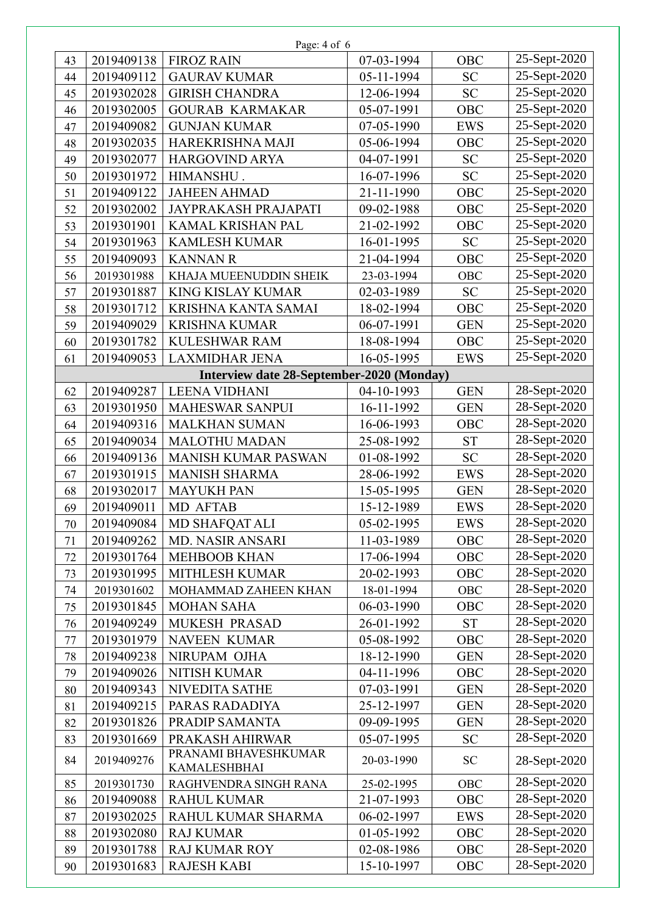| Page: 4 of 6 |            |                                             |            |            |              |  |
|--------------|------------|---------------------------------------------|------------|------------|--------------|--|
| 43           | 2019409138 | <b>FIROZ RAIN</b>                           | 07-03-1994 | OBC        | 25-Sept-2020 |  |
| 44           | 2019409112 | <b>GAURAV KUMAR</b>                         | 05-11-1994 | <b>SC</b>  | 25-Sept-2020 |  |
| 45           | 2019302028 | <b>GIRISH CHANDRA</b>                       | 12-06-1994 | <b>SC</b>  | 25-Sept-2020 |  |
| 46           | 2019302005 | <b>GOURAB KARMAKAR</b>                      | 05-07-1991 | <b>OBC</b> | 25-Sept-2020 |  |
| 47           | 2019409082 | <b>GUNJAN KUMAR</b>                         | 07-05-1990 | <b>EWS</b> | 25-Sept-2020 |  |
| 48           | 2019302035 | HAREKRISHNA MAJI                            | 05-06-1994 | OBC        | 25-Sept-2020 |  |
| 49           | 2019302077 | <b>HARGOVIND ARYA</b>                       | 04-07-1991 | <b>SC</b>  | 25-Sept-2020 |  |
| 50           | 2019301972 | HIMANSHU.                                   | 16-07-1996 | <b>SC</b>  | 25-Sept-2020 |  |
| 51           | 2019409122 | <b>JAHEEN AHMAD</b>                         | 21-11-1990 | OBC        | 25-Sept-2020 |  |
| 52           | 2019302002 | <b>JAYPRAKASH PRAJAPATI</b>                 | 09-02-1988 | OBC        | 25-Sept-2020 |  |
| 53           | 2019301901 | KAMAL KRISHAN PAL                           | 21-02-1992 | OBC        | 25-Sept-2020 |  |
| 54           | 2019301963 | <b>KAMLESH KUMAR</b>                        | 16-01-1995 | <b>SC</b>  | 25-Sept-2020 |  |
| 55           | 2019409093 | <b>KANNAN R</b>                             | 21-04-1994 | <b>OBC</b> | 25-Sept-2020 |  |
| 56           | 2019301988 | KHAJA MUEENUDDIN SHEIK                      | 23-03-1994 | <b>OBC</b> | 25-Sept-2020 |  |
| 57           | 2019301887 | <b>KING KISLAY KUMAR</b>                    | 02-03-1989 | <b>SC</b>  | 25-Sept-2020 |  |
| 58           | 2019301712 | KRISHNA KANTA SAMAI                         | 18-02-1994 | OBC        | 25-Sept-2020 |  |
| 59           | 2019409029 | <b>KRISHNA KUMAR</b>                        | 06-07-1991 | <b>GEN</b> | 25-Sept-2020 |  |
| 60           | 2019301782 | <b>KULESHWAR RAM</b>                        | 18-08-1994 | <b>OBC</b> | 25-Sept-2020 |  |
| 61           | 2019409053 | <b>LAXMIDHAR JENA</b>                       | 16-05-1995 | <b>EWS</b> | 25-Sept-2020 |  |
|              |            | Interview date 28-September-2020 (Monday)   |            |            |              |  |
| 62           | 2019409287 | <b>LEENA VIDHANI</b>                        | 04-10-1993 | <b>GEN</b> | 28-Sept-2020 |  |
| 63           | 2019301950 | <b>MAHESWAR SANPUI</b>                      | 16-11-1992 | <b>GEN</b> | 28-Sept-2020 |  |
| 64           | 2019409316 | <b>MALKHAN SUMAN</b>                        | 16-06-1993 | OBC        | 28-Sept-2020 |  |
| 65           | 2019409034 | <b>MALOTHU MADAN</b>                        | 25-08-1992 | <b>ST</b>  | 28-Sept-2020 |  |
| 66           | 2019409136 | <b>MANISH KUMAR PASWAN</b>                  | 01-08-1992 | <b>SC</b>  | 28-Sept-2020 |  |
| 67           | 2019301915 | <b>MANISH SHARMA</b>                        | 28-06-1992 | <b>EWS</b> | 28-Sept-2020 |  |
| 68           | 2019302017 | <b>MAYUKH PAN</b>                           | 15-05-1995 | <b>GEN</b> | 28-Sept-2020 |  |
| 69           | 2019409011 | <b>MD AFTAB</b>                             | 15-12-1989 | <b>EWS</b> | 28-Sept-2020 |  |
| 70           | 2019409084 | <b>MD SHAFQAT ALI</b>                       | 05-02-1995 | EWS        | 28-Sept-2020 |  |
| 71           | 2019409262 | <b>MD. NASIR ANSARI</b>                     | 11-03-1989 | OBC        | 28-Sept-2020 |  |
| 72           | 2019301764 | <b>MEHBOOB KHAN</b>                         | 17-06-1994 | OBC        | 28-Sept-2020 |  |
| 73           | 2019301995 | <b>MITHLESH KUMAR</b>                       | 20-02-1993 | OBC        | 28-Sept-2020 |  |
| 74           | 2019301602 | MOHAMMAD ZAHEEN KHAN                        | 18-01-1994 | OBC        | 28-Sept-2020 |  |
| 75           | 2019301845 | <b>MOHAN SAHA</b>                           | 06-03-1990 | OBC        | 28-Sept-2020 |  |
| 76           | 2019409249 | <b>MUKESH PRASAD</b>                        | 26-01-1992 | <b>ST</b>  | 28-Sept-2020 |  |
| 77           | 2019301979 | <b>NAVEEN KUMAR</b>                         | 05-08-1992 | OBC        | 28-Sept-2020 |  |
| 78           | 2019409238 | NIRUPAM OJHA                                | 18-12-1990 | <b>GEN</b> | 28-Sept-2020 |  |
| 79           | 2019409026 | <b>NITISH KUMAR</b>                         | 04-11-1996 | OBC        | 28-Sept-2020 |  |
| 80           | 2019409343 | NIVEDITA SATHE                              | 07-03-1991 | <b>GEN</b> | 28-Sept-2020 |  |
| 81           | 2019409215 | PARAS RADADIYA                              | 25-12-1997 | <b>GEN</b> | 28-Sept-2020 |  |
| 82           | 2019301826 | PRADIP SAMANTA                              | 09-09-1995 | <b>GEN</b> | 28-Sept-2020 |  |
| 83           | 2019301669 | PRAKASH AHIRWAR                             | 05-07-1995 | <b>SC</b>  | 28-Sept-2020 |  |
| 84           | 2019409276 | PRANAMI BHAVESHKUMAR<br><b>KAMALESHBHAI</b> | 20-03-1990 | <b>SC</b>  | 28-Sept-2020 |  |
| 85           | 2019301730 | RAGHVENDRA SINGH RANA                       | 25-02-1995 | OBC        | 28-Sept-2020 |  |
| 86           | 2019409088 | <b>RAHUL KUMAR</b>                          | 21-07-1993 | OBC        | 28-Sept-2020 |  |
| 87           | 2019302025 | RAHUL KUMAR SHARMA                          | 06-02-1997 | <b>EWS</b> | 28-Sept-2020 |  |
| 88           | 2019302080 | <b>RAJ KUMAR</b>                            | 01-05-1992 | OBC        | 28-Sept-2020 |  |
| 89           | 2019301788 | <b>RAJ KUMAR ROY</b>                        | 02-08-1986 | OBC        | 28-Sept-2020 |  |
| 90           | 2019301683 | <b>RAJESH KABI</b>                          | 15-10-1997 | OBC        | 28-Sept-2020 |  |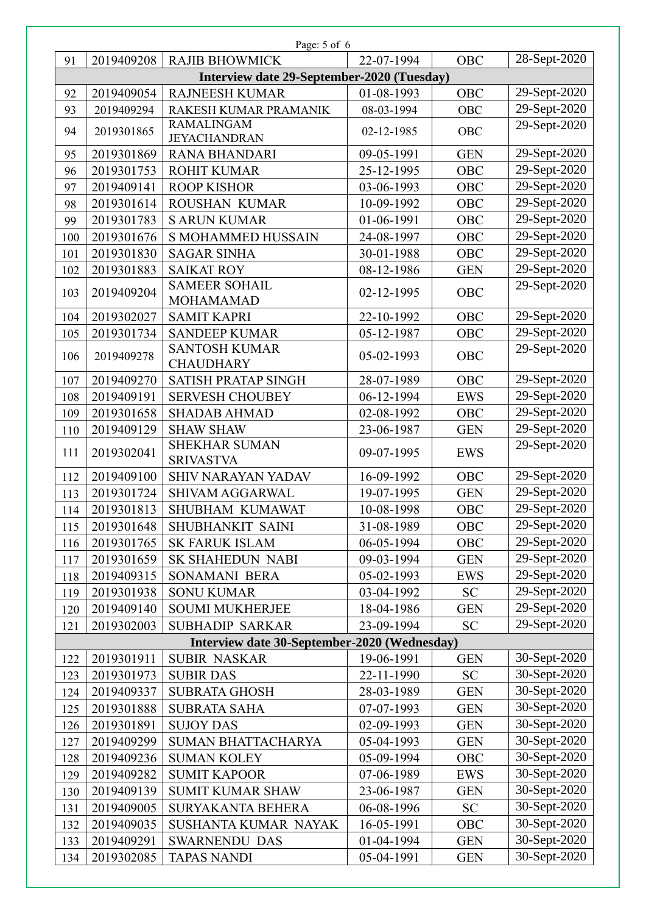| Page: 5 of 6 |                                            |                                              |            |            |              |  |  |
|--------------|--------------------------------------------|----------------------------------------------|------------|------------|--------------|--|--|
| 91           | 2019409208                                 | <b>RAJIB BHOWMICK</b>                        | 22-07-1994 | OBC        | 28-Sept-2020 |  |  |
|              | Interview date 29-September-2020 (Tuesday) |                                              |            |            |              |  |  |
| 92           | 2019409054                                 | <b>RAJNEESH KUMAR</b>                        | 01-08-1993 | OBC        | 29-Sept-2020 |  |  |
| 93           | 2019409294                                 | RAKESH KUMAR PRAMANIK                        | 08-03-1994 | OBC        | 29-Sept-2020 |  |  |
| 94           | 2019301865                                 | <b>RAMALINGAM</b><br><b>JEYACHANDRAN</b>     | 02-12-1985 | OBC        | 29-Sept-2020 |  |  |
| 95           | 2019301869                                 | <b>RANA BHANDARI</b>                         | 09-05-1991 | <b>GEN</b> | 29-Sept-2020 |  |  |
| 96           | 2019301753                                 | <b>ROHIT KUMAR</b>                           | 25-12-1995 | OBC        | 29-Sept-2020 |  |  |
| 97           | 2019409141                                 | <b>ROOP KISHOR</b>                           | 03-06-1993 | OBC        | 29-Sept-2020 |  |  |
| 98           | 2019301614                                 | ROUSHAN KUMAR                                | 10-09-1992 | OBC        | 29-Sept-2020 |  |  |
| 99           | 2019301783                                 | <b>S ARUN KUMAR</b>                          | 01-06-1991 | OBC        | 29-Sept-2020 |  |  |
| 100          | 2019301676                                 | <b>S MOHAMMED HUSSAIN</b>                    | 24-08-1997 | OBC        | 29-Sept-2020 |  |  |
| 101          | 2019301830                                 | <b>SAGAR SINHA</b>                           | 30-01-1988 | OBC        | 29-Sept-2020 |  |  |
| 102          | 2019301883                                 | <b>SAIKAT ROY</b>                            | 08-12-1986 | <b>GEN</b> | 29-Sept-2020 |  |  |
| 103          | 2019409204                                 | <b>SAMEER SOHAIL</b><br><b>MOHAMAMAD</b>     | 02-12-1995 | OBC        | 29-Sept-2020 |  |  |
| 104          | 2019302027                                 | <b>SAMIT KAPRI</b>                           | 22-10-1992 | OBC        | 29-Sept-2020 |  |  |
| 105          | 2019301734                                 | <b>SANDEEP KUMAR</b>                         | 05-12-1987 | OBC        | 29-Sept-2020 |  |  |
| 106          | 2019409278                                 | <b>SANTOSH KUMAR</b><br><b>CHAUDHARY</b>     | 05-02-1993 | OBC        | 29-Sept-2020 |  |  |
| 107          | 2019409270                                 | <b>SATISH PRATAP SINGH</b>                   | 28-07-1989 | <b>OBC</b> | 29-Sept-2020 |  |  |
| 108          | 2019409191                                 | <b>SERVESH CHOUBEY</b>                       | 06-12-1994 | <b>EWS</b> | 29-Sept-2020 |  |  |
| 109          | 2019301658                                 | <b>SHADAB AHMAD</b>                          | 02-08-1992 | OBC        | 29-Sept-2020 |  |  |
| 110          | 2019409129                                 | <b>SHAW SHAW</b>                             | 23-06-1987 | <b>GEN</b> | 29-Sept-2020 |  |  |
| 111          | 2019302041                                 | <b>SHEKHAR SUMAN</b><br><b>SRIVASTVA</b>     | 09-07-1995 | <b>EWS</b> | 29-Sept-2020 |  |  |
| 112          | 2019409100                                 | <b>SHIV NARAYAN YADAV</b>                    | 16-09-1992 | OBC        | 29-Sept-2020 |  |  |
| 113          | 2019301724                                 | <b>SHIVAM AGGARWAL</b>                       | 19-07-1995 | <b>GEN</b> | 29-Sept-2020 |  |  |
| 114          | 2019301813                                 | SHUBHAM KUMAWAT                              | 10-08-1998 | OBC        | 29-Sept-2020 |  |  |
| 115          | 2019301648                                 | SHUBHANKIT SAINI                             | 31-08-1989 | OBC        | 29-Sept-2020 |  |  |
| 116          | 2019301765                                 | <b>SK FARUK ISLAM</b>                        | 06-05-1994 | OBC        | 29-Sept-2020 |  |  |
| 117          | 2019301659                                 | <b>SK SHAHEDUN NABI</b>                      | 09-03-1994 | <b>GEN</b> | 29-Sept-2020 |  |  |
| 118          | 2019409315                                 | SONAMANI BERA                                | 05-02-1993 | <b>EWS</b> | 29-Sept-2020 |  |  |
| 119          | 2019301938                                 | <b>SONU KUMAR</b>                            | 03-04-1992 | <b>SC</b>  | 29-Sept-2020 |  |  |
| 120          | 2019409140                                 | <b>SOUMI MUKHERJEE</b>                       | 18-04-1986 | <b>GEN</b> | 29-Sept-2020 |  |  |
| 121          | 2019302003                                 | <b>SUBHADIP SARKAR</b>                       | 23-09-1994 | <b>SC</b>  | 29-Sept-2020 |  |  |
|              |                                            | Interview date 30-September-2020 (Wednesday) |            |            |              |  |  |
| 122          | 2019301911                                 | <b>SUBIR NASKAR</b>                          | 19-06-1991 | <b>GEN</b> | 30-Sept-2020 |  |  |
| 123          | 2019301973                                 | <b>SUBIR DAS</b>                             | 22-11-1990 | <b>SC</b>  | 30-Sept-2020 |  |  |
| 124          | 2019409337                                 | <b>SUBRATA GHOSH</b>                         | 28-03-1989 | <b>GEN</b> | 30-Sept-2020 |  |  |
| 125          | 2019301888                                 | <b>SUBRATA SAHA</b>                          | 07-07-1993 | <b>GEN</b> | 30-Sept-2020 |  |  |
| 126          | 2019301891                                 | <b>SUJOY DAS</b>                             | 02-09-1993 | <b>GEN</b> | 30-Sept-2020 |  |  |
| 127          | 2019409299                                 | SUMAN BHATTACHARYA                           | 05-04-1993 | <b>GEN</b> | 30-Sept-2020 |  |  |
| 128          | 2019409236                                 | <b>SUMAN KOLEY</b>                           | 05-09-1994 | OBC        | 30-Sept-2020 |  |  |
| 129          | 2019409282                                 | <b>SUMIT KAPOOR</b>                          | 07-06-1989 | <b>EWS</b> | 30-Sept-2020 |  |  |
| 130          | 2019409139                                 | <b>SUMIT KUMAR SHAW</b>                      | 23-06-1987 | <b>GEN</b> | 30-Sept-2020 |  |  |
| 131          | 2019409005                                 | <b>SURYAKANTA BEHERA</b>                     | 06-08-1996 | <b>SC</b>  | 30-Sept-2020 |  |  |
| 132          | 2019409035                                 | SUSHANTA KUMAR NAYAK                         | 16-05-1991 | OBC        | 30-Sept-2020 |  |  |
| 133          | 2019409291                                 | <b>SWARNENDU DAS</b>                         | 01-04-1994 | <b>GEN</b> | 30-Sept-2020 |  |  |
| 134          | 2019302085                                 | <b>TAPAS NANDI</b>                           | 05-04-1991 | <b>GEN</b> | 30-Sept-2020 |  |  |